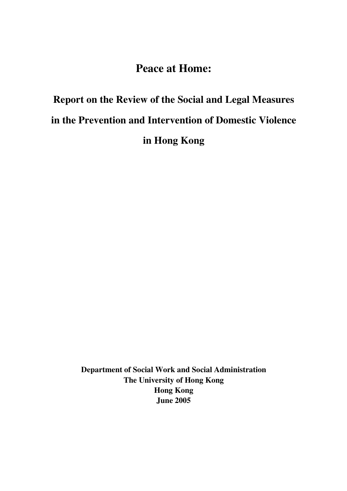## **Peace at Home:**

# **Report on the Review of the Social and Legal Measures in the Prevention and Intervention of Domestic Violence in Hong Kong**

**Department of Social Work and Social Administration The University of Hong Kong Hong Kong June 2005**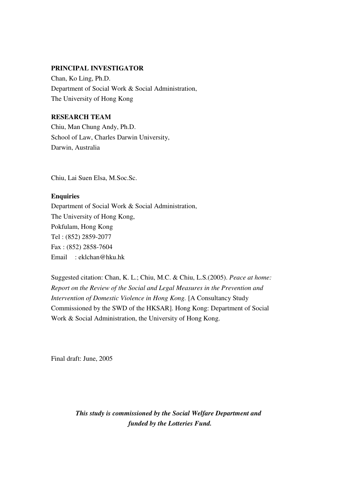#### **PRINCIPAL INVESTIGATOR**

Chan, Ko Ling, Ph.D. Department of Social Work & Social Administration, The University of Hong Kong

#### **RESEARCH TEAM**

Chiu, Man Chung Andy, Ph.D. School of Law, Charles Darwin University, Darwin, Australia

Chiu, Lai Suen Elsa, M.Soc.Sc.

#### **Enquiries**

Department of Social Work & Social Administration, The University of Hong Kong, Pokfulam, Hong Kong Tel : (852) 2859-2077 Fax : (852) 2858-7604 Email : eklchan@hku.hk

Suggested citation: Chan, K. L.; Chiu, M.C. & Chiu, L.S.(2005). *Peace at home: Report on the Review of the Social and Legal Measures in the Prevention and Intervention of Domestic Violence in Hong Kong.* [A Consultancy Study Commissioned by the SWD of the HKSAR]. Hong Kong: Department of Social Work & Social Administration, the University of Hong Kong.

Final draft: June, 2005

*This study is commissioned by the Social Welfare Department and funded by the Lotteries Fund.*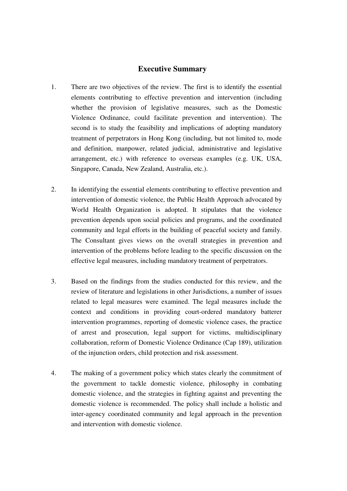### **Executive Summary**

- 1. There are two objectives of the review. The first is to identify the essential elements contributing to effective prevention and intervention (including whether the provision of legislative measures, such as the Domestic Violence Ordinance, could facilitate prevention and intervention). The second is to study the feasibility and implications of adopting mandatory treatment of perpetrators in Hong Kong (including, but not limited to, mode and definition, manpower, related judicial, administrative and legislative arrangement, etc.) with reference to overseas examples (e.g. UK, USA, Singapore, Canada, New Zealand, Australia, etc.).
- 2. In identifying the essential elements contributing to effective prevention and intervention of domestic violence, the Public Health Approach advocated by World Health Organization is adopted. It stipulates that the violence prevention depends upon social policies and programs, and the coordinated community and legal efforts in the building of peaceful society and family. The Consultant gives views on the overall strategies in prevention and intervention of the problems before leading to the specific discussion on the effective legal measures, including mandatory treatment of perpetrators.
- 3. Based on the findings from the studies conducted for this review, and the review of literature and legislations in other Jurisdictions, a number of issues related to legal measures were examined. The legal measures include the context and conditions in providing court-ordered mandatory batterer intervention programmes, reporting of domestic violence cases, the practice of arrest and prosecution, legal support for victims, multidisciplinary collaboration, reform of Domestic Violence Ordinance (Cap 189), utilization of the injunction orders, child protection and risk assessment.
- 4. The making of a government policy which states clearly the commitment of the government to tackle domestic violence, philosophy in combating domestic violence, and the strategies in fighting against and preventing the domestic violence is recommended. The policy shall include a holistic and inter-agency coordinated community and legal approach in the prevention and intervention with domestic violence.